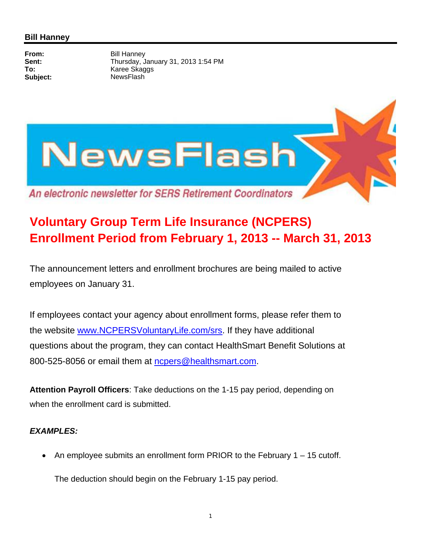

## **Voluntary Group Term Life Insurance (NCPERS) Enrollment Period from February 1, 2013 -- March 31, 2013**

The announcement letters and enrollment brochures are being mailed to active employees on January 31.

If employees contact your agency about enrollment forms, please refer them to the website www.NCPERSVoluntaryLife.com/srs. If they have additional questions about the program, they can contact HealthSmart Benefit Solutions at 800-525-8056 or email them at ncpers@healthsmart.com.

**Attention Payroll Officers**: Take deductions on the 1-15 pay period, depending on when the enrollment card is submitted.

## *EXAMPLES:*

An employee submits an enrollment form PRIOR to the February  $1 - 15$  cutoff.

The deduction should begin on the February 1-15 pay period.